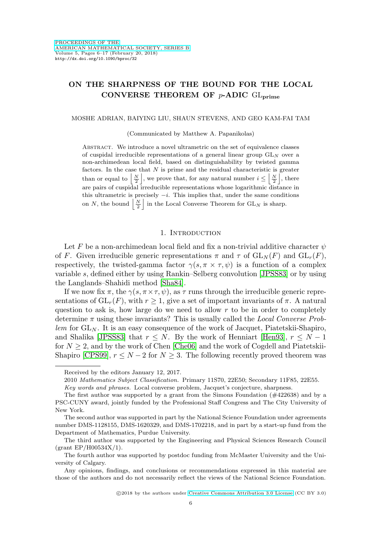# **ON THE SHARPNESS OF THE BOUND FOR THE LOCAL CONVERSE THEOREM OF** p**-ADIC** GL**prime**

#### MOSHE ADRIAN, BAIYING LIU, SHAUN STEVENS, AND GEO KAM-FAI TAM

(Communicated by Matthew A. Papanikolas)

Abstract. We introduce a novel ultrametric on the set of equivalence classes of cuspidal irreducible representations of a general linear group  $GL_N$  over a non-archimedean local field, based on distinguishability by twisted gamma factors. In the case that  $N$  is prime and the residual characteristic is greater than or equal to  $\left|\frac{N}{2}\right|$ , we prove that, for any natural number  $i \leq \left|\frac{N}{2}\right|$ , there are pairs of cuspidal irreducible representations whose logarithmic distance in this ultrametric is precisely  $-i$ . This implies that, under the same conditions on N, the bound  $\left|\frac{N}{2}\right|$  in the Local Converse Theorem for  $GL_N$  is sharp.

### 1. INTRODUCTION

Let F be a non-archimedean local field and fix a non-trivial additive character  $\psi$ of F. Given irreducible generic representations  $\pi$  and  $\tau$  of  $GL_N(F)$  and  $GL_r(F)$ , respectively, the twisted-gamma factor  $\gamma(s, \pi \times \tau, \psi)$  is a function of a complex variable s, defined either by using Rankin–Selberg convolution [\[JPSS83\]](#page-10-0) or by using the Langlands–Shahidi method [\[Sha84\]](#page-10-1).

If we now fix  $\pi$ , the  $\gamma(s, \pi \times \tau, \psi)$ , as  $\tau$  runs through the irreducible generic representations of  $GL_r(F)$ , with  $r \geq 1$ , give a set of important invariants of  $\pi$ . A natural question to ask is, how large do we need to allow  $r$  to be in order to completely determine  $\pi$  using these invariants? This is usually called the *Local Converse Prob* $lem$  for  $GL_N$ . It is an easy consequence of the work of Jacquet, Piatetskii-Shapiro, and Shalika [\[JPSS83\]](#page-10-0) that  $r \leq N$ . By the work of Henniart [\[Hen93\]](#page-10-2),  $r \leq N-1$ for  $N \geq 2$ , and by the work of Chen [\[Che06\]](#page-10-3) and the work of Cogdell and Piatetskii-Shapiro [\[CPS99\]](#page-10-4),  $r \leq N-2$  for  $N \geq 3$ . The following recently proved theorem was

Key words and phrases. Local converse problem, Jacquet's conjecture, sharpness.

Received by the editors January 12, 2017.

<sup>2010</sup> Mathematics Subject Classification. Primary 11S70, 22E50; Secondary 11F85, 22E55.

The first author was supported by a grant from the Simons Foundation (#422638) and by a PSC-CUNY award, jointly funded by the Professional Staff Congress and The City University of New York.

The second author was supported in part by the National Science Foundation under agreements number DMS-1128155, DMS-1620329, and DMS-1702218, and in part by a start-up fund from the Department of Mathematics, Purdue University.

The third author was supported by the Engineering and Physical Sciences Research Council (grant EP/H00534X/1).

The fourth author was supported by postdoc funding from McMaster University and the University of Calgary.

Any opinions, findings, and conclusions or recommendations expressed in this material are those of the authors and do not necessarily reflect the views of the National Science Foundation.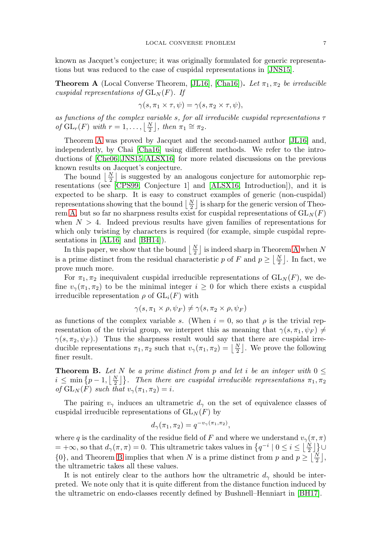known as Jacquet's conjecture; it was originally formulated for generic representations but was reduced to the case of cuspidal representations in [\[JNS15\]](#page-10-5).

<span id="page-1-0"></span>**Theorem A** (Local Converse Theorem, [\[JL16\]](#page-10-6), [\[Cha16\]](#page-10-7)). Let  $\pi_1, \pi_2$  be irreducible cuspidal representations of  $GL<sub>N</sub>(F)$ . If

$$
\gamma(s, \pi_1 \times \tau, \psi) = \gamma(s, \pi_2 \times \tau, \psi),
$$

as functions of the complex variable s, for all irreducible cuspidal representations  $\tau$ of  $GL_r(F)$  with  $r = 1, \ldots, \left\lfloor \frac{N}{2} \right\rfloor$ , then  $\pi_1 \cong \pi_2$ .

Theorem [A](#page-1-0) was proved by Jacquet and the second-named author [\[JL16\]](#page-10-6) and, independently, by Chai [\[Cha16\]](#page-10-7) using different methods. We refer to the introductions of [\[Che06,](#page-10-3) [JNS15,](#page-10-5) [ALSX16\]](#page-10-8) for more related discussions on the previous known results on Jacquet's conjecture.

The bound  $\lfloor \frac{N}{2} \rfloor$  is suggested by an analogous conjecture for automorphic representations (see [\[CPS99,](#page-10-4) Conjecture 1] and [\[ALSX16,](#page-10-8) Introduction]), and it is expected to be sharp. It is easy to construct examples of generic (non-cuspidal) representations showing that the bound  $\lfloor \frac{N}{2} \rfloor$  is sharp for the generic version of Theo-rem [A,](#page-1-0) but so far no sharpness results exist for cuspidal representations of  $GL_N(F)$ when  $N > 4$ . Indeed previous results have given families of representations for which only twisting by characters is required (for example, simple cuspidal representations in [\[AL16\]](#page-10-9) and [\[BH14\]](#page-10-10)).

In this paper, we show that the bound  $\lfloor \frac{N}{2} \rfloor$  is indeed sharp in Theorem [A](#page-1-0) when N is a prime distinct from the residual characteristic p of F and  $p \geq \lfloor \frac{N}{2} \rfloor$ . In fact, we prove much more.

For  $\pi_1, \pi_2$  inequivalent cuspidal irreducible representations of  $GL_N(F)$ , we define  $v_{\gamma}(\pi_1, \pi_2)$  to be the minimal integer  $i \geq 0$  for which there exists a cuspidal irreducible representation  $\rho$  of  $GL_i(F)$  with

$$
\gamma(s, \pi_1 \times \rho, \psi_F) \neq \gamma(s, \pi_2 \times \rho, \psi_F)
$$

as functions of the complex variable s. (When  $i = 0$ , so that  $\rho$  is the trivial representation of the trivial group, we interpret this as meaning that  $\gamma(s, \pi_1, \psi_F) \neq$  $\gamma(s,\pi_2,\psi_F)$ .) Thus the sharpness result would say that there are cuspidal irreducible representations  $\pi_1, \pi_2$  such that  $v_\gamma(\pi_1, \pi_2) = \lfloor \frac{N}{2} \rfloor$ . We prove the following finer result.

<span id="page-1-1"></span>**Theorem B.** Let N be a prime distinct from p and let i be an integer with  $0 \leq$  $i \leq \min\{p-1,\lfloor\frac{N}{2}\rfloor\}.$  Then there are cuspidal irreducible representations  $\pi_1, \pi_2$ of  $GL_N(F)$  such that  $v_\gamma(\pi_1, \pi_2) = i$ .

The pairing  $v_\gamma$  induces an ultrametric  $d_\gamma$  on the set of equivalence classes of cuspidal irreducible representations of  $GL_N(F)$  by

$$
d_{\gamma}(\pi_1, \pi_2) = q^{-v_{\gamma}(\pi_1, \pi_2)},
$$

where q is the cardinality of the residue field of F and where we understand  $v_{\gamma}(\pi, \pi)$  $= +\infty$ , so that  $d_{\gamma}(\pi, \pi) = 0$ . This ultrametric takes values in  $\{q^{-i} \mid 0 \leq i \leq \lfloor \frac{N}{2} \rfloor\}$  $\{0\}$ , and Theorem [B](#page-1-1) implies that when N is a prime distinct from p and  $p \geq \lfloor \frac{N}{2} \rfloor$ , the ultrametric takes all these values.

It is not entirely clear to the authors how the ultrametric  $d_{\gamma}$  should be interpreted. We note only that it is quite different from the distance function induced by the ultrametric on endo-classes recently defined by Bushnell–Henniart in [\[BH17\]](#page-10-11).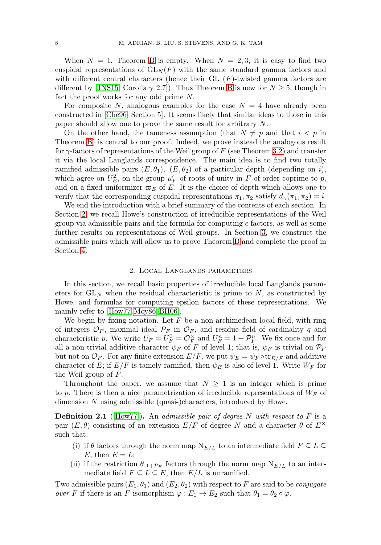When  $N = 1$ , Theorem [B](#page-1-1) is empty. When  $N = 2, 3$ , it is easy to find two cuspidal representations of  $GL_N(F)$  with the same standard gamma factors and with different central characters (hence their  $GL_1(F)$ -twisted gamma factors are different by [\[JNS15,](#page-10-5) Corollary 2.7]). Thus Theorem [B](#page-1-1) is new for  $N \geq 5$ , though in fact the proof works for any odd prime N.

For composite N, analogous examples for the case  $N = 4$  have already been constructed in [\[Che96,](#page-10-12) Section 5]. It seems likely that similar ideas to those in this paper should allow one to prove the same result for arbitrary N.

On the other hand, the tameness assumption (that  $N \neq p$  and that  $i < p$  in Theorem [B\)](#page-1-1) is central to our proof. Indeed, we prove instead the analogous result for  $\gamma$ -factors of representations of the Weil group of F (see Theorem [3.2\)](#page-6-0) and transfer it via the local Langlands correspondence. The main idea is to find two totally ramified admissible pairs  $(E, \theta_1)$ ,  $(E, \theta_2)$  of a particular depth (depending on i), which agree on  $U_E^2$ , on the group  $\mu'_F$  of roots of unity in F of order coprime to p, and on a fixed uniformizer  $\varpi_E$  of E. It is the choice of depth which allows one to verify that the corresponding cuspidal representations  $\pi_1, \pi_2$  satisfy  $d_{\gamma}(\pi_1, \pi_2) = i$ .

We end the introduction with a brief summary of the contents of each section. In Section [2,](#page-2-0) we recall Howe's construction of irreducible representations of the Weil group via admissible pairs and the formula for computing  $\epsilon$ -factors, as well as some further results on representations of Weil groups. In Section [3,](#page-5-0) we construct the admissible pairs which will allow us to prove Theorem [B](#page-1-1) and complete the proof in Section [4.](#page-7-0)

## 2. Local Langlands parameters

<span id="page-2-0"></span>In this section, we recall basic properties of irreducible local Langlands parameters for  $GL_N$  when the residual characteristic is prime to  $N$ , as constructed by Howe, and formulas for computing epsilon factors of these representations. We mainly refer to [\[How77,](#page-10-13)[Moy86,](#page-10-14) [BH06\]](#page-10-15).

We begin by fixing notation. Let  $F$  be a non-archimedean local field, with ring of integers  $\mathcal{O}_F$ , maximal ideal  $\mathcal{P}_F$  in  $\mathcal{O}_F$ , and residue field of cardinality q and characteristic p. We write  $U_F = U_F^0 = \mathcal{O}_F^{\times}$  and  $U_F^n = 1 + \mathcal{P}_F^n$ . We fix once and for all a non-trivial additive character  $\psi_F$  of F of level 1; that is,  $\psi_F$  is trivial on  $\mathcal{P}_F$ but not on  $\mathcal{O}_F$ . For any finite extension  $E/F$ , we put  $\psi_E = \psi_F \circ \text{tr}_{E/F}$  and additive character of E; if  $E/F$  is tamely ramified, then  $\psi_E$  is also of level 1. Write  $W_F$  for the Weil group of F.

Throughout the paper, we assume that  $N \geq 1$  is an integer which is prime to p. There is then a nice parametrization of irreducible representations of  $W_F$  of dimension N using admissible (quasi-)characters, introduced by Howe.

**Definition 2.1** ([\[How77\]](#page-10-13)). An admissible pair of degree N with respect to F is a pair  $(E,\theta)$  consisting of an extension  $E/F$  of degree N and a character  $\theta$  of  $E^{\times}$ such that:

- (i) if  $\theta$  factors through the norm map  $N_{E/L}$  to an intermediate field  $F \subseteq L \subseteq$  $E$ , then  $E = L$ ;
- (ii) if the restriction  $\theta|_{1+\mathcal{P}_E}$  factors through the norm map  $N_{E/L}$  to an intermediate field  $F \subseteq L \subseteq E$ , then  $E/L$  is unramified.

Two admissible pairs  $(E_1, \theta_1)$  and  $(E_2, \theta_2)$  with respect to F are said to be *conjugate* over F if there is an F-isomorphism  $\varphi : E_1 \to E_2$  such that  $\theta_1 = \theta_2 \circ \varphi$ .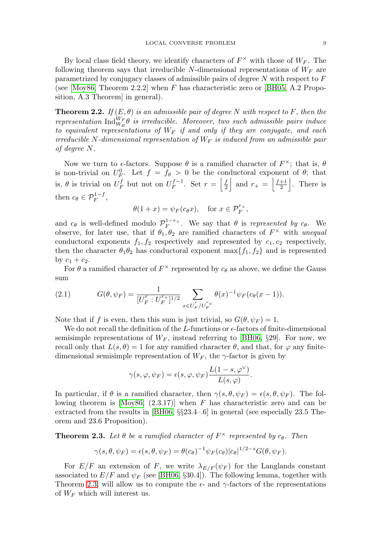By local class field theory, we identify characters of  $F^{\times}$  with those of  $W_F$ . The following theorem says that irreducible N-dimensional representations of  $W_F$  are parametrized by conjugacy classes of admissible pairs of degree  $N$  with respect to  $F$ (see [\[Moy86,](#page-10-14) Theorem 2.2.2] when F has characteristic zero or [\[BH05,](#page-10-16) A.2 Proposition, A.3 Theorem] in general).

**Theorem 2.2.** If  $(E, \theta)$  is an admissible pair of degree N with respect to F, then the representation  $\text{Ind}_{W_E}^{W_F} \theta$  is irreducible. Moreover, two such admissible pairs induce to equivalent representations of  $W_F$  if and only if they are conjugate, and each irreducible N-dimensional representation of  $W_F$  is induced from an admissible pair of degree N.

Now we turn to  $\epsilon$ -factors. Suppose  $\theta$  is a ramified character of  $F^{\times}$ ; that is,  $\theta$ is non-trivial on  $U_F^0$ . Let  $f = f_\theta > 0$  be the conductoral exponent of  $\theta$ ; that is,  $\theta$  is trivial on  $U_F^f$  but not on  $U_F^{f-1}$ . Set  $r = \left| \frac{f}{2} \right|$  and  $r_+ = \left| \frac{f+1}{2} \right|$ . There is then  $c_{\theta} \in \mathcal{P}_F^{1-f}$ ,

$$
\theta(1+x) = \psi_F(c_\theta x), \quad \text{for } x \in \mathcal{P}_F^{r_+},
$$

and  $c_{\theta}$  is well-defined modulo  $\mathcal{P}_F^{1-r_+}$ . We say that  $\theta$  is represented by  $c_{\theta}$ . We observe, for later use, that if  $\theta_1, \theta_2$  are ramified characters of  $F^{\times}$  with unequal conductoral exponents  $f_1, f_2$  respectively and represented by  $c_1, c_2$  respectively, then the character  $\theta_1 \theta_2$  has conductoral exponent max $\{f_1, f_2\}$  and is represented by  $c_1 + c_2$ .

For  $\theta$  a ramified character of  $F^{\times}$  represented by  $c_{\theta}$  as above, we define the Gauss sum

<span id="page-3-1"></span>(2.1) 
$$
G(\theta, \psi_F) = \frac{1}{[U_F^r : U_F^{r+}]^{1/2}} \sum_{x \in U_F^r / U_F^{r+}} \theta(x)^{-1} \psi_F(c_{\theta}(x-1)).
$$

Note that if f is even, then this sum is just trivial, so  $G(\theta, \psi_F) = 1$ .

We do not recall the definition of the  $L$ -functions or  $\epsilon$ -factors of finite-dimensional semisimple representations of  $W_F$ , instead referring to [\[BH06,](#page-10-15) §29]. For now, we recall only that  $L(s, \theta) = 1$  for any ramified character  $\theta$ , and that, for  $\varphi$  any finitedimensional semisimple representation of  $W_F$ , the  $\gamma$ -factor is given by

$$
\gamma(s,\varphi,\psi_F) = \epsilon(s,\varphi,\psi_F) \frac{L(1-s,\varphi^{\vee})}{L(s,\varphi)}.
$$

In particular, if  $\theta$  is a ramified character, then  $\gamma(s, \theta, \psi_F) = \epsilon(s, \theta, \psi_F)$ . The following theorem is  $[Moy86, (2.3.17)]$  $[Moy86, (2.3.17)]$  when F has characteristic zero and can be extracted from the results in [\[BH06,](#page-10-15) §§23.4–.6] in general (see especially 23.5 Theorem and 23.6 Proposition).

<span id="page-3-0"></span>**Theorem 2.3.** Let  $\theta$  be a ramified character of  $F^{\times}$  represented by  $c_{\theta}$ . Then

$$
\gamma(s,\theta,\psi_F) = \epsilon(s,\theta,\psi_F) = \theta(c_{\theta})^{-1}\psi_F(c_{\theta})|c_{\theta}|^{1/2-s}G(\theta,\psi_F).
$$

For  $E/F$  an extension of F, we write  $\lambda_{E/F}(\psi_F)$  for the Langlands constant associated to  $E/F$  and  $\psi_F$  (see [\[BH06,](#page-10-15) §30.4]). The following lemma, together with Theorem [2.3,](#page-3-0) will allow us to compute the  $\epsilon$ - and  $\gamma$ -factors of the representations of  $W_F$  which will interest us.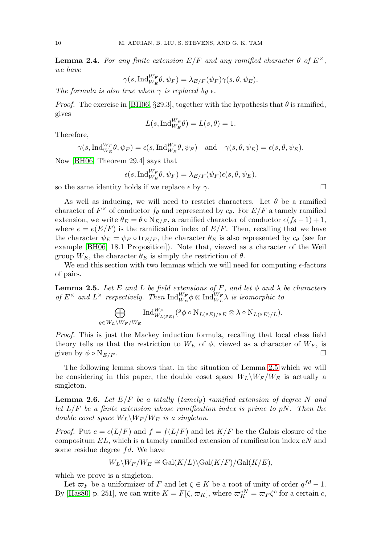<span id="page-4-2"></span>**Lemma 2.4.** For any finite extension  $E/F$  and any ramified character  $\theta$  of  $E^{\times}$ , we have

$$
\gamma(s,\mathrm{Ind}_{W_E}^{W_F}\theta,\psi_F)=\lambda_{E/F}(\psi_F)\gamma(s,\theta,\psi_E).
$$

The formula is also true when  $\gamma$  is replaced by  $\epsilon$ .

*Proof.* The exercise in [\[BH06,](#page-10-15) §29.3], together with the hypothesis that  $\theta$  is ramified, gives

$$
L(s, \mathrm{Ind}_{W_E}^{W_F} \theta) = L(s, \theta) = 1.
$$

Therefore,

$$
\gamma(s, \text{Ind}_{W_E}^{W_F} \theta, \psi_F) = \epsilon(s, \text{Ind}_{W_E}^{W_F} \theta, \psi_F)
$$
 and  $\gamma(s, \theta, \psi_E) = \epsilon(s, \theta, \psi_E)$ .

Now [\[BH06,](#page-10-15) Theorem 29.4] says that

$$
\epsilon(s, \mathrm{Ind}_{W_E}^{W_F} \theta, \psi_F) = \lambda_{E/F}(\psi_F) \epsilon(s, \theta, \psi_E),
$$

so the same identity holds if we replace  $\epsilon$  by  $\gamma$ .

As well as inducing, we will need to restrict characters. Let  $\theta$  be a ramified character of  $F^{\times}$  of conductor  $f_{\theta}$  and represented by  $c_{\theta}$ . For  $E/F$  a tamely ramified extension, we write  $\theta_E = \theta \circ N_{E/F}$ , a ramified character of conductor  $e(f_{\theta}-1)+1$ , where  $e = e(E/F)$  is the ramification index of  $E/F$ . Then, recalling that we have the character  $\psi_E = \psi_F \circ \text{tr}_{E/F}$ , the character  $\theta_E$  is also represented by  $c_\theta$  (see for example [\[BH06,](#page-10-15) 18.1 Proposition]). Note that, viewed as a character of the Weil group  $W_E$ , the character  $\theta_E$  is simply the restriction of  $\theta$ .

We end this section with two lemmas which we will need for computing  $\epsilon$ -factors of pairs.

<span id="page-4-0"></span>**Lemma 2.5.** Let E and L be field extensions of F, and let  $\phi$  and  $\lambda$  be characters of  $E^{\times}$  and  $L^{\times}$  respectively. Then  $\text{Ind}_{W_E}^{W_F} \phi \otimes \text{Ind}_{W_L}^{W_F} \lambda$  is isomorphic to

$$
\bigoplus_{g\in W_L\setminus W_F/W_E} \operatorname{Ind}_{W_{L(\mathscr{G}E)}}^{W_F} (\mathscr{G}\phi \circ \mathrm{N}_{L(\mathscr{G}E)/\mathscr{G}E}\otimes \lambda \circ \mathrm{N}_{L(\mathscr{G}E)/L}).
$$

Proof. This is just the Mackey induction formula, recalling that local class field theory tells us that the restriction to  $W_E$  of  $\phi$ , viewed as a character of  $W_F$ , is given by  $\phi \circ N_{E/F}$ .

The following lemma shows that, in the situation of Lemma [2.5](#page-4-0) which we will be considering in this paper, the double coset space  $W_L\backslash W_F/W_E$  is actually a singleton.

<span id="page-4-1"></span>**Lemma 2.6.** Let  $E/F$  be a totally (tamely) ramified extension of degree N and let  $L/F$  be a finite extension whose ramification index is prime to pN. Then the double coset space  $W_L \backslash W_F / W_E$  is a singleton.

*Proof.* Put  $e = e(L/F)$  and  $f = f(L/F)$  and let  $K/F$  be the Galois closure of the compositum  $EL$ , which is a tamely ramified extension of ramification index  $eN$  and some residue degree  $fd$ . We have

$$
W_L \backslash W_F / W_E \cong \text{Gal}(K/L) \backslash \text{Gal}(K/F) / \text{Gal}(K/E),
$$

which we prove is a singleton.

Let  $\varpi_F$  be a uniformizer of F and let  $\zeta \in K$  be a root of unity of order  $q^{fd} - 1$ . By [\[Has80,](#page-10-17) p. 251], we can write  $K = F[\zeta,\varpi_K]$ , where  $\varpi_K^{eN} = \varpi_F \zeta^c$  for a certain c,

 $\Box$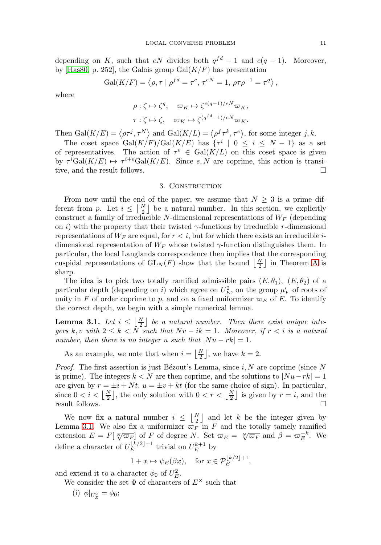depending on K, such that eN divides both  $q^{fd} - 1$  and  $c(q - 1)$ . Moreover, by [\[Has80,](#page-10-17) p. 252], the Galois group  $Gal(K/F)$  has presentation

$$
\operatorname{Gal}(K/F) = \left\langle \rho, \tau \mid \rho^{fd} = \tau^c, \, \tau^{eN} = 1, \, \rho \tau \rho^{-1} = \tau^q \right\rangle,
$$

where

$$
\rho: \zeta \mapsto \zeta^q, \quad \varpi_K \mapsto \zeta^{c(q-1)/eN} \varpi_K,
$$
  

$$
\tau: \zeta \mapsto \zeta, \quad \varpi_K \mapsto \zeta^{(q^{fd}-1)/eN} \varpi_K.
$$

Then Gal $(K/E) = \langle \rho \tau^j, \tau^N \rangle$  and Gal $(K/L) = \langle \rho^f \tau^k, \tau^e \rangle$ , for some integer j, k.

The coset space  $Gal(K/F)/Gal(K/E)$  has  $\{\tau^i \mid 0 \leq i \leq N-1\}$  as a set of representatives. The action of  $\tau^e \in \text{Gal}(K/L)$  on this coset space is given by  $\tau^i \text{Gal}(K/E) \mapsto \tau^{i+e} \text{Gal}(K/E)$ . Since e, N are coprime, this action is transitive, and the result follows.

### 3. CONSTRUCTION

<span id="page-5-0"></span>From now until the end of the paper, we assume that  $N \geq 3$  is a prime different from p. Let  $i \leq \lfloor \frac{N}{2} \rfloor$  be a natural number. In this section, we explicitly construct a family of irreducible N-dimensional representations of  $W_F$  (depending on i) with the property that their twisted  $\gamma$ -functions by irreducible r-dimensional representations of  $W_F$  are equal, for  $r < i$ , but for which there exists an irreducible *i*dimensional representation of  $W_F$  whose twisted  $\gamma$ -function distinguishes them. In particular, the local Langlands correspondence then implies that the corresponding cuspidal representations of  $GL_N(F)$  show that the bound  $\lfloor \frac{N}{2} \rfloor$  in Theorem [A](#page-1-0) is sharp.

The idea is to pick two totally ramified admissible pairs  $(E, \theta_1)$ ,  $(E, \theta_2)$  of a particular depth (depending on *i*) which agree on  $U_E^2$ , on the group  $\mu'_F$  of roots of unity in F of order coprime to p, and on a fixed uniformizer  $\varpi_E$  of E. To identify the correct depth, we begin with a simple numerical lemma.

<span id="page-5-1"></span>**Lemma 3.1.** Let  $i \leq \lfloor \frac{N}{2} \rfloor$  be a natural number. Then there exist unique integers k, v with  $2 \leq k < N$  such that  $Nv - ik = 1$ . Moreover, if  $r < i$  is a natural number, then there is no integer u such that  $|Nu - rk| = 1$ .

As an example, we note that when  $i = \left\lfloor \frac{N}{2} \right\rfloor$ , we have  $k = 2$ .

*Proof.* The first assertion is just Bézout's Lemma, since i, N are coprime (since N is prime). The integers  $k < N$  are then coprime, and the solutions to  $|Nu-rk| = 1$ are given by  $r = \pm i + Nt$ ,  $u = \pm v + kt$  (for the same choice of sign). In particular, since  $0 < i < \left\lfloor \frac{N}{2} \right\rfloor$ , the only solution with  $0 < r < \left\lfloor \frac{N}{2} \right\rfloor$  is given by  $r = i$ , and the result follows.  $\Box$  $\Box$ 

We now fix a natural number  $i \leq \lfloor \frac{N}{2} \rfloor$  and let k be the integer given by Lemma [3.1.](#page-5-1) We also fix a uniformizer  $\varpi_F$  in F and the totally tamely ramified extension  $E = F[\sqrt[n]{\varpi_F}]$  of F of degree N. Set  $\varpi_E = \sqrt[n]{\varpi_F}$  and  $\beta = \varpi_E^{-k}$ . We define a character of  $U_E^{[k/2]+1}$  trivial on  $U_E^{k+1}$  by

$$
1 + x \mapsto \psi_E(\beta x)
$$
, for  $x \in \mathcal{P}_E^{\lfloor k/2 \rfloor + 1}$ ,

and extend it to a character  $\phi_0$  of  $U_E^2$ .

We consider the set  $\Phi$  of characters of  $E^{\times}$  such that

(i)  $\phi|_{U_E^2} = \phi_0;$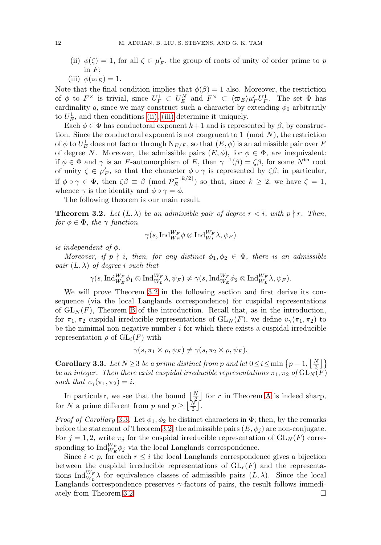- <span id="page-6-1"></span>(ii)  $\phi(\zeta) = 1$ , for all  $\zeta \in \mu_F'$ , the group of roots of unity of order prime to p in  $F$ :
- <span id="page-6-2"></span>(iii)  $\phi(\varpi_E) = 1$ .

Note that the final condition implies that  $\phi(\beta) = 1$  also. Moreover, the restriction of  $\phi$  to  $F^\times$  is trivial, since  $U_F^1 \subset U_E^N$  and  $F^\times \subset \langle \varpi_E \rangle \mu_F' U_F^1$ . The set  $\Phi$  has cardinality q, since we may construct such a character by extending  $\phi_0$  arbitrarily to  $U_E^1$ , and then conditions [\(ii\),](#page-6-1) [\(iii\)](#page-6-2) determine it uniquely.

Each  $\phi \in \Phi$  has conductoral exponent  $k+1$  and is represented by  $\beta$ , by construction. Since the conductoral exponent is not congruent to 1 (mod  $N$ ), the restriction of  $\phi$  to  $U_E^1$  does not factor through  $N_{E/F}$ , so that  $(E, \phi)$  is an admissible pair over  $F$ of degree N. Moreover, the admissible pairs  $(E, \phi)$ , for  $\phi \in \Phi$ , are inequivalent: if  $\phi \in \Phi$  and  $\gamma$  is an F-automorphism of E, then  $\gamma^{-1}(\beta) = \zeta \beta$ , for some N<sup>th</sup> root of unity  $\zeta \in \mu_F'$ , so that the character  $\phi \circ \gamma$  is represented by  $\zeta \beta$ ; in particular, if  $\phi \circ \gamma \in \Phi$ , then  $\zeta \beta \equiv \beta \pmod{\mathcal{P}_E^{-\lfloor k/2 \rfloor}}$  so that, since  $k \geq 2$ , we have  $\zeta = 1$ , whence  $\gamma$  is the identity and  $\phi \circ \gamma = \phi$ .

The following theorem is our main result.

<span id="page-6-0"></span>**Theorem 3.2.** Let  $(L, \lambda)$  be an admissible pair of degree  $r < i$ , with  $p \nmid r$ . Then, for  $\phi \in \Phi$ , the  $\gamma$ -function

$$
\gamma(s,\mathrm{Ind}_{W_E}^{W_F}\phi\otimes \mathrm{Ind}_{W_L}^{W_F}\lambda,\psi_F)
$$

is independent of  $\phi$ .

Moreover, if  $p \nmid i$ , then, for any distinct  $\phi_1, \phi_2 \in \Phi$ , there is an admissible pair  $(L, \lambda)$  of degree i such that

$$
\gamma(s,\mathrm{Ind}_{W_E}^{W_F}\phi_1\otimes \mathrm{Ind}_{W_L}^{W_F}\lambda,\psi_F)\neq \gamma(s,\mathrm{Ind}_{W_E}^{W_F}\phi_2\otimes \mathrm{Ind}_{W_L}^{W_F}\lambda,\psi_F).
$$

We will prove Theorem [3.2](#page-6-0) in the following section and first derive its consequence (via the local Langlands correspondence) for cuspidal representations of  $GL<sub>N</sub>(F)$ , Theorem [B](#page-1-1) of the introduction. Recall that, as in the introduction, for  $\pi_1, \pi_2$  cuspidal irreducible representations of  $GL_N(F)$ , we define  $v_\gamma(\pi_1, \pi_2)$  to be the minimal non-negative number  $i$  for which there exists a cuspidal irreducible representation  $\rho$  of  $GL_i(F)$  with

$$
\gamma(s,\pi_1\times\rho,\psi_F)\neq\gamma(s,\pi_2\times\rho,\psi_F).
$$

<span id="page-6-3"></span>**Corollary 3.3.** Let  $N \ge 3$  be a prime distinct from p and let  $0 \le i \le \min\left\{p-1, \left\lfloor\frac{N}{2}\right\rfloor\right\}$ be an integer. Then there exist cuspidal irreducible representations  $\pi_1, \pi_2$  of  $GL_N(F)$ such that  $v_{\gamma}(\pi_1, \pi_2) = i$ .

In particular, we see that the bound  $\lfloor \frac{N}{2} \rfloor$  for r in Theorem [A](#page-1-0) is indeed sharp, for N a prime different from p and  $p \geq \lfloor \frac{N}{2} \rfloor$ .

*Proof of Corollary* [3.3](#page-6-3). Let  $\phi_1, \phi_2$  be distinct characters in  $\Phi$ ; then, by the remarks before the statement of Theorem [3.2,](#page-6-0) the admissible pairs  $(E, \phi_i)$  are non-conjugate. For  $j = 1, 2$ , write  $\pi_j$  for the cuspidal irreducible representation of  $GL_N(F)$  corresponding to  $\text{Ind}_{W_E}^{W_F} \phi_j$  via the local Langlands correspondence.

Since  $i < p$ , for each  $r \leq i$  the local Langlands correspondence gives a bijection between the cuspidal irreducible representations of  $GL_r(F)$  and the representations  $\text{Ind}_{W_L}^{W_F} \lambda$  for equivalence classes of admissible pairs  $(L, \lambda)$ . Since the local Langlands correspondence preserves γ-factors of pairs, the result follows immedi-ately from Theorem [3.2.](#page-6-0)  $\Box$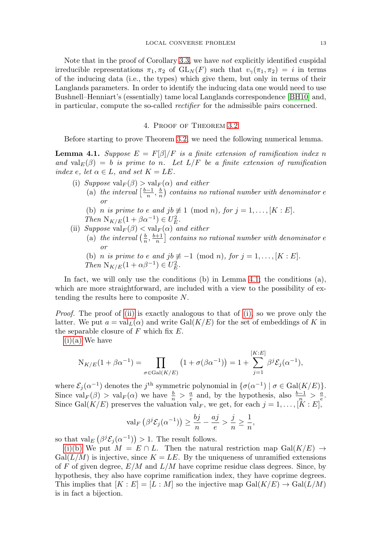Note that in the proof of Corollary [3.3,](#page-6-3) we have not explicitly identified cuspidal irreducible representations  $\pi_1, \pi_2$  of  $GL_N(F)$  such that  $v_\gamma(\pi_1, \pi_2) = i$  in terms of the inducing data (i.e., the types) which give them, but only in terms of their Langlands parameters. In order to identify the inducing data one would need to use Bushnell–Henniart's (essentially) tame local Langlands correspondence [\[BH10\]](#page-10-18) and, in particular, compute the so-called rectifier for the admissible pairs concerned.

### 4. Proof of Theorem [3.2](#page-6-0)

<span id="page-7-0"></span>Before starting to prove Theorem [3.2,](#page-6-0) we need the following numerical lemma.

<span id="page-7-1"></span>**Lemma 4.1.** Suppose  $E = F[\beta]/F$  is a finite extension of ramification index n and val $_E(\beta) = b$  is prime to n. Let  $L/F$  be a finite extension of ramification index e, let  $\alpha \in L$ , and set  $K = LE$ .

- <span id="page-7-5"></span><span id="page-7-4"></span><span id="page-7-3"></span>(i) Suppose  $\operatorname{val}_F(\beta) > \operatorname{val}_F(\alpha)$  and either
	- (a) the interval  $\left[\frac{b-1}{n},\frac{b}{n}\right]$  contains no rational number with denominator e or
	- (b) *n is prime to e and jb*  $\not\equiv$  1 (mod *n*), for  $j = 1, \ldots, [K : E]$ . Then  $N_{K/E}(1 + \beta \alpha^{-1}) \in U_E^2$ .
- <span id="page-7-2"></span>(ii) Suppose  $\operatorname{val}_F(\beta) < \operatorname{val}_F(\alpha)$  and either
	- (a) the interval  $\left(\frac{b}{n}, \frac{b+1}{n}\right]$  contains no rational number with denominator e or
	- (b) *n* is prime to e and jb  $\not\equiv -1 \pmod{n}$ , for  $j = 1, \ldots, [K : E]$ . Then  $N_{K/E}(1 + \alpha \beta^{-1}) \in U_E^2$ .

In fact, we will only use the conditions (b) in Lemma [4.1;](#page-7-1) the conditions (a), which are more straightforward, are included with a view to the possibility of extending the results here to composite N.

Proof. The proof of [\(ii\)](#page-7-2) is exactly analogous to that of [\(i\),](#page-7-3) so we prove only the latter. We put  $a = val<sub>L</sub>(\alpha)$  and write Gal( $K/E$ ) for the set of embeddings of K in the separable closure of  $F$  which fix  $E$ .

 $(i)(a)$  We have

$$
N_{K/E}(1 + \beta \alpha^{-1}) = \prod_{\sigma \in Gal(K/E)} (1 + \sigma(\beta \alpha^{-1})) = 1 + \sum_{j=1}^{[K:E]} \beta^{j} \mathcal{E}_{j}(\alpha^{-1}),
$$

where  $\mathcal{E}_j(\alpha^{-1})$  denotes the j<sup>th</sup> symmetric polynomial in  $\{\sigma(\alpha^{-1}) \mid \sigma \in \text{Gal}(K/E)\}.$ Since  $val_F(\beta) > val_F(\alpha)$  we have  $\frac{b}{n} > \frac{a}{e}$  and, by the hypothesis, also  $\frac{b-1}{n} > \frac{a}{e}$ . Since Gal(K/E) preserves the valuation val<sub>F</sub>, we get, for each  $j = 1, \ldots, [K : E]$ ,

$$
\operatorname{val}_{F} \left( \beta^{j} \mathcal{E}_{j}(\alpha^{-1}) \right) \geq \frac{bj}{n} - \frac{aj}{e} > \frac{j}{n} \geq \frac{1}{n},
$$

so that val<sub>E</sub>  $(\beta^j \mathcal{E}_j(\alpha^{-1})) > 1$ . The result follows.

[\(i\)\(b\)](#page-7-5) We put  $M = E \cap L$ . Then the natural restriction map  $Gal(K/E) \rightarrow$  $Gal(L/M)$  is injective, since  $K = LE$ . By the uniqueness of unramified extensions of F of given degree,  $E/M$  and  $L/M$  have coprime residue class degrees. Since, by hypothesis, they also have coprime ramification index, they have coprime degrees. This implies that  $[K : E] = [L : M]$  so the injective map  $Gal(K/E) \rightarrow Gal(L/M)$ is in fact a bijection.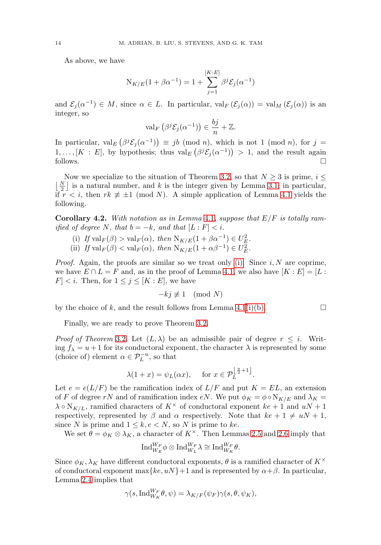As above, we have

$$
N_{K/E}(1 + \beta \alpha^{-1}) = 1 + \sum_{j=1}^{[K:E]} \beta^{j} \mathcal{E}_{j}(\alpha^{-1})
$$

and  $\mathcal{E}_i(\alpha^{-1}) \in M$ , since  $\alpha \in L$ . In particular,  $\operatorname{val}_F(\mathcal{E}_i(\alpha)) = \operatorname{val}_M(\mathcal{E}_i(\alpha))$  is an integer, so

$$
\operatorname{val}_{F} \left( \beta^{j} \mathcal{E}_{j}(\alpha^{-1}) \right) \in \frac{bj}{n} + \mathbb{Z}.
$$

In particular,  $\operatorname{val}_E(\beta^j \mathcal{E}_j(\alpha^{-1})) \equiv jb \pmod{n}$ , which is not 1 (mod *n*), for  $j =$  $1, \ldots, [K : E]$ , by hypothesis; thus  $\text{val}_E\left(\beta^j \mathcal{E}_j(\alpha^{-1})\right) > 1$ , and the result again follows.  $\Box$ 

Now we specialize to the situation of Theorem [3.2,](#page-6-0) so that  $N \geq 3$  is prime,  $i \leq$  $\lfloor \frac{N}{2} \rfloor$  is a natural number, and k is the integer given by Lemma [3.1;](#page-5-1) in particular, if  $r < i$ , then  $rk \not\equiv \pm 1 \pmod{N}$ . A simple application of Lemma [4.1](#page-7-1) yields the following.

<span id="page-8-1"></span><span id="page-8-0"></span>**Corollary 4.2.** With notation as in Lemma [4.1](#page-7-1), suppose that  $E/F$  is totally ramified of degree N, that  $b = -k$ , and that  $[L : F] < i$ .

- (i) If  $\operatorname{val}_F(\beta) > \operatorname{val}_F(\alpha)$ , then  $\operatorname{N}_{K/E}(1 + \beta \alpha^{-1}) \in U_E^2$ .
- (ii) If  $\operatorname{val}_F(\beta) < \operatorname{val}_F(\alpha)$ , then  $N_{K/E}(1 + \alpha \beta^{-1}) \in U_E^2$ .

*Proof.* Again, the proofs are similar so we treat only [\(i\).](#page-8-0) Since  $i, N$  are coprime, we have  $E \cap L = F$  and, as in the proof of Lemma [4.1,](#page-7-1) we also have  $[K : E] = [L :$  $|F| < i$ . Then, for  $1 \leq j \leq [K : E]$ , we have

$$
-kj \not\equiv 1 \pmod{N}
$$

by the choice of k, and the result follows from Lemma [4.1](#page-7-1)[\(i\)\(b\).](#page-7-5)  $\Box$ 

Finally, we are ready to prove Theorem [3.2.](#page-6-0)

*Proof of Theorem [3.2](#page-6-0).* Let  $(L, \lambda)$  be an admissible pair of degree  $r \leq i$ . Writing  $f_{\lambda} = u + 1$  for its conductoral exponent, the character  $\lambda$  is represented by some (choice of) element  $\alpha \in \mathcal{P}_L^{-u}$ , so that

$$
\lambda(1+x) = \psi_L(\alpha x), \quad \text{for } x \in \mathcal{P}_L^{\left\lfloor \frac{u}{2}+1 \right\rfloor}.
$$

Let  $e = e(L/F)$  be the ramification index of  $L/F$  and put  $K = EL$ , an extension of F of degree rN and of ramification index eN. We put  $\phi_K = \phi \circ N_{K/E}$  and  $\lambda_K =$  $\lambda \circ N_{K/L}$ , ramified characters of  $K^{\times}$  of conductoral exponent  $ke + 1$  and  $uN + 1$ respectively, represented by  $\beta$  and  $\alpha$  respectively. Note that  $ke + 1 \neq uN + 1$ , since N is prime and  $1 \leq k, e \leq N$ , so N is prime to ke.

We set  $\theta = \phi_K \otimes \lambda_K$ , a character of  $K^{\times}$ . Then Lemmas [2.5](#page-4-0) and [2.6](#page-4-1) imply that

$$
\text{Ind}_{W_E}^{W_F} \phi \otimes \text{Ind}_{W_L}^{W_F} \lambda \cong \text{Ind}_{W_K}^{W_F} \theta.
$$

Since  $\phi_K, \lambda_K$  have different conductoral exponents,  $\theta$  is a ramified character of  $K^{\times}$ of conductoral exponent max $\{ke, uN\}$ +1 and is represented by  $\alpha + \beta$ . In particular, Lemma [2.4](#page-4-2) implies that

$$
\gamma(s, \mathrm{Ind}_{W_K}^{W_F} \theta, \psi) = \lambda_{K/F}(\psi_F) \gamma(s, \theta, \psi_K),
$$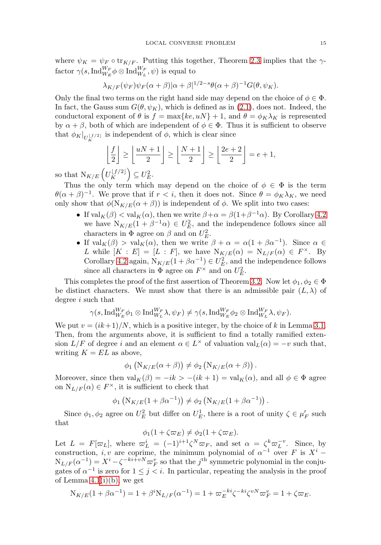where  $\psi_K = \psi_F \circ \text{tr}_{K/F}$ . Putting this together, Theorem [2.3](#page-3-0) implies that the  $\gamma$ factor  $\gamma(s, \text{Ind}_{W_E}^{W_F} \phi \otimes \text{Ind}_{W_L}^{W_F}, \psi)$  is equal to

$$
\lambda_{K/F}(\psi_F)\psi_F(\alpha+\beta)|\alpha+\beta|^{1/2-s}\theta(\alpha+\beta)^{-1}G(\theta,\psi_K).
$$

Only the final two terms on the right hand side may depend on the choice of  $\phi \in \Phi$ . In fact, the Gauss sum  $G(\theta, \psi_K)$ , which is defined as in [\(2.1\)](#page-3-1), does not. Indeed, the conductoral exponent of  $\theta$  is  $f = \max\{ke, uN\} + 1$ , and  $\theta = \phi_K \lambda_K$  is represented by  $\alpha + \beta$ , both of which are independent of  $\phi \in \Phi$ . Thus it is sufficient to observe that  $\phi_K|_{U_K^{\lfloor f/2 \rfloor}}$  is independent of  $\phi$ , which is clear since

$$
\left\lfloor \frac{f}{2} \right\rfloor \ge \left\lfloor \frac{uN+1}{2} \right\rfloor \ge \left\lfloor \frac{N+1}{2} \right\rfloor \ge \left\lfloor \frac{2e+2}{2} \right\rfloor = e+1,
$$

so that  $N_{K/E} \left( U_K^{\lfloor f/2 \rfloor} \right) \subseteq U_E^2$ .

Thus the only term which may depend on the choice of  $\phi \in \Phi$  is the term  $\theta(\alpha + \beta)^{-1}$ . We prove that if  $r < i$ , then it does not. Since  $\theta = \phi_K \lambda_K$ , we need only show that  $\phi(N_{K/E}(\alpha + \beta))$  is independent of  $\phi$ . We split into two cases:

- If  $\operatorname{val}_K(\beta) < \operatorname{val}_K(\alpha)$ , then we write  $\beta + \alpha = \beta(1 + \beta^{-1}\alpha)$ . By Corollary [4.2](#page-8-1) we have  $N_{K/E}(1 + \beta^{-1}\alpha) \in U_E^2$ , and the independence follows since all characters in  $\Phi$  agree on  $\beta$  and on  $U_E^2$ .
- If  $\operatorname{val}_K(\beta) > \operatorname{val}_K(\alpha)$ , then we write  $\beta + \alpha = \alpha(1 + \beta \alpha^{-1})$ . Since  $\alpha \in$ L while  $[K : E] = [L : F]$ , we have  $N_{K/E} (\alpha) = N_{L/F} (\alpha) \in F^{\times}$ . By Corollary [4.2](#page-8-1) again,  $N_{K/E}(1 + \beta \alpha^{-1}) \in U_E^2$ , and the independence follows since all characters in  $\Phi$  agree on  $F^{\times}$  and on  $U_E^2$ .

This completes the proof of the first assertion of Theorem [3.2.](#page-6-0) Now let  $\phi_1, \phi_2 \in \Phi$ be distinct characters. We must show that there is an admissible pair  $(L, \lambda)$  of degree i such that

$$
\gamma(s,\mathrm{Ind}_{W_E}^{W_F}\phi_1\otimes \mathrm{Ind}_{W_L}^{W_F}\lambda,\psi_F)\neq \gamma(s,\mathrm{Ind}_{W_E}^{W_F}\phi_2\otimes \mathrm{Ind}_{W_L}^{W_F}\lambda,\psi_F).
$$

We put  $v = (ik+1)/N$ , which is a positive integer, by the choice of k in Lemma [3.1.](#page-5-1) Then, from the arguments above, it is sufficient to find a totally ramified extension  $L/F$  of degree i and an element  $\alpha \in L^{\times}$  of valuation  $\text{val}_{L}(\alpha) = -v$  such that, writing  $K = EL$  as above,

$$
\phi_1\left(\mathrm{N}_{K/E}(\alpha+\beta)\right)\neq\phi_2\left(\mathrm{N}_{K/E}(\alpha+\beta)\right).
$$

Moreover, since then  $\operatorname{val}_K(\beta) = -ik > -(ik + 1) = \operatorname{val}_K(\alpha)$ , and all  $\phi \in \Phi$  agree on  $N_{L/F}(\alpha) \in F^{\times}$ , it is sufficient to check that

$$
\phi_1\left(N_{K/E}(1+\beta\alpha^{-1})\right) \neq \phi_2\left(N_{K/E}(1+\beta\alpha^{-1})\right).
$$

Since  $\phi_1, \phi_2$  agree on  $U_E^2$  but differ on  $U_E^1$ , there is a root of unity  $\zeta \in \mu'_F$  such that

$$
\phi_1(1+\zeta\varpi_E) \neq \phi_2(1+\zeta\varpi_E).
$$

Let  $L = F[\varpi_L]$ , where  $\varpi_L^i = (-1)^{i+1} \zeta^N \varpi_F$ , and set  $\alpha = \zeta^k \varpi_L^{-v}$ . Since, by construction, i, v are coprime, the minimum polynomial of  $\alpha^{-1}$  over F is  $X^i$  −  $N_{L/F}(\alpha^{-1}) = X^{i} - \zeta^{-ki+vN} \varpi_{F}^{v}$  so that the j<sup>th</sup> symmetric polynomial in the conjugates of  $\alpha^{-1}$  is zero for  $1 \leq j < i$ . In particular, repeating the analysis in the proof of Lemma  $4.1(i)(b)$ , we get

$$
N_{K/E}(1 + \beta \alpha^{-1}) = 1 + \beta^{i} N_{L/F}(\alpha^{-1}) = 1 + \varpi_{E}^{-ki} \zeta^{-ki} \zeta^{vN} \varpi_{F}^{v} = 1 + \zeta \varpi_{E}.
$$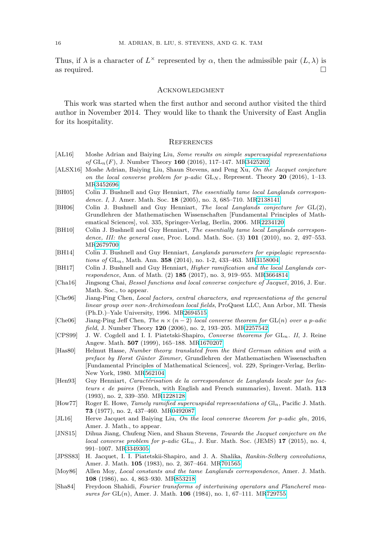Thus, if  $\lambda$  is a character of  $L^{\times}$  represented by  $\alpha$ , then the admissible pair  $(L, \lambda)$  is as required.  $\Box$ 

#### **ACKNOWLEDGMENT**

This work was started when the first author and second author visited the third author in November 2014. They would like to thank the University of East Anglia for its hospitality.

#### **REFERENCES**

- <span id="page-10-9"></span>[AL16] Moshe Adrian and Baiying Liu, Some results on simple supercuspidal representations of GLn(F), J. Number Theory **160** (2016), 117–147. M[R3425202](http://www.ams.org/mathscinet-getitem?mr=3425202)
- <span id="page-10-8"></span>[ALSX16] Moshe Adrian, Baiying Liu, Shaun Stevens, and Peng Xu, On the Jacquet conjecture on the local converse problem for p-adic  $GL_N$ , Represent. Theory **20** (2016), 1–13. M[R3452696](http://www.ams.org/mathscinet-getitem?mr=3452696)
- <span id="page-10-16"></span>[BH05] Colin J. Bushnell and Guy Henniart, The essentially tame local Langlands correspondence. I, J. Amer. Math. Soc. **18** (2005), no. 3, 685–710. M[R2138141](http://www.ams.org/mathscinet-getitem?mr=2138141)
- <span id="page-10-15"></span>[BH06] Colin J. Bushnell and Guy Henniart, The local Langlands conjecture for GL(2), Grundlehren der Mathematischen Wissenschaften [Fundamental Principles of Mathematical Sciences], vol. 335, Springer-Verlag, Berlin, 2006. M[R2234120](http://www.ams.org/mathscinet-getitem?mr=2234120)
- <span id="page-10-18"></span>[BH10] Colin J. Bushnell and Guy Henniart, The essentially tame local Langlands correspondence, III: the general case, Proc. Lond. Math. Soc. (3) **101** (2010), no. 2, 497–553. M[R2679700](http://www.ams.org/mathscinet-getitem?mr=2679700)
- <span id="page-10-10"></span>[BH14] Colin J. Bushnell and Guy Henniart, *Langlands parameters for epipelagic representa*tions of GLn, Math. Ann. **358** (2014), no. 1-2, 433–463. M[R3158004](http://www.ams.org/mathscinet-getitem?mr=3158004)
- <span id="page-10-11"></span>[BH17] Colin J. Bushnell and Guy Henniart, Higher ramification and the local Langlands correspondence, Ann. of Math. (2) **185** (2017), no. 3, 919–955. M[R3664814](http://www.ams.org/mathscinet-getitem?mr=3664814)
- <span id="page-10-7"></span>[Cha16] Jingsong Chai, Bessel functions and local converse conjecture of Jacquet, 2016, J. Eur. Math. Soc., to appear.
- <span id="page-10-12"></span>[Che96] Jiang-Ping Chen, Local factors, central characters, and representations of the general linear group over non-Archimedean local fields, ProQuest LLC, Ann Arbor, MI. Thesis (Ph.D.)–Yale University, 1996. M[R2694515](http://www.ams.org/mathscinet-getitem?mr=2694515)
- <span id="page-10-3"></span>[Che06] Jiang-Ping Jeff Chen, The  $n \times (n-2)$  local converse theorem for GL(n) over a p-adic field, J. Number Theory **120** (2006), no. 2, 193–205. M[R2257542](http://www.ams.org/mathscinet-getitem?mr=2257542)
- <span id="page-10-4"></span>[CPS99] J. W. Cogdell and I. I. Piatetski-Shapiro, Converse theorems for GL<sub>n</sub>. II, J. Reine Angew. Math. **507** (1999), 165–188. M[R1670207](http://www.ams.org/mathscinet-getitem?mr=1670207)
- <span id="page-10-17"></span>[Has80] Helmut Hasse, Number theory: translated from the third German edition and with a preface by Horst Günter Zimmer, Grundlehren der Mathematischen Wissenschaften [Fundamental Principles of Mathematical Sciences], vol. 229, Springer-Verlag, Berlin-New York, 1980. M[R562104](http://www.ams.org/mathscinet-getitem?mr=562104)
- <span id="page-10-2"></span>[Hen93] Guy Henniart, Caractérisation de la correspondance de Langlands locale par les facteurs  $\epsilon$  de paires (French, with English and French summaries), Invent. Math. **113** (1993), no. 2, 339–350. M[R1228128](http://www.ams.org/mathscinet-getitem?mr=1228128)
- <span id="page-10-13"></span>[How77] Roger E. Howe, *Tamely ramified supercuspidal representations of* Gl<sub>n</sub>, Pacific J. Math. **73** (1977), no. 2, 437–460. M[R0492087](http://www.ams.org/mathscinet-getitem?mr=0492087)
- <span id="page-10-6"></span>[JL16] Herve Jacquet and Baiying Liu, On the local converse theorem for p-adic gln, 2016, Amer. J. Math., to appear.
- <span id="page-10-5"></span>[JNS15] Dihua Jiang, Chufeng Nien, and Shaun Stevens, Towards the Jacquet conjecture on the local converse problem for  $p$ -adic  $GL_n$ , J. Eur. Math. Soc. (JEMS) 17 (2015), no. 4, 991–1007. M[R3349305](http://www.ams.org/mathscinet-getitem?mr=3349305)
- <span id="page-10-0"></span>[JPSS83] H. Jacquet, I. I. Piatetskii-Shapiro, and J. A. Shalika, Rankin-Selberg convolutions, Amer. J. Math. **105** (1983), no. 2, 367–464. M[R701565](http://www.ams.org/mathscinet-getitem?mr=701565)
- <span id="page-10-14"></span>[Moy86] Allen Moy, Local constants and the tame Langlands correspondence, Amer. J. Math. **108** (1986), no. 4, 863–930. M[R853218](http://www.ams.org/mathscinet-getitem?mr=853218)
- <span id="page-10-1"></span>[Sha84] Freydoon Shahidi, Fourier transforms of intertwining operators and Plancherel measures for GL(n), Amer. J. Math. **106** (1984), no. 1, 67–111. M[R729755](http://www.ams.org/mathscinet-getitem?mr=729755)